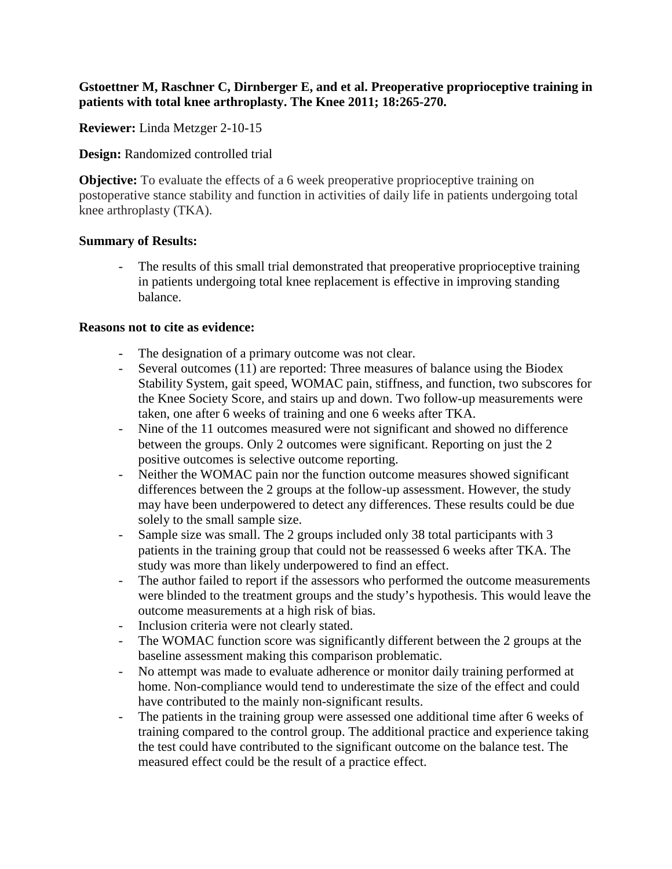## **Gstoettner M, Raschner C, Dirnberger E, and et al. Preoperative proprioceptive training in patients with total knee arthroplasty. The Knee 2011; 18:265-270.**

**Reviewer:** Linda Metzger 2-10-15

**Design:** Randomized controlled trial

**Objective:** To evaluate the effects of a 6 week preoperative proprioceptive training on postoperative stance stability and function in activities of daily life in patients undergoing total knee arthroplasty (TKA).

## **Summary of Results:**

The results of this small trial demonstrated that preoperative proprioceptive training in patients undergoing total knee replacement is effective in improving standing balance.

## **Reasons not to cite as evidence:**

- The designation of a primary outcome was not clear.
- Several outcomes (11) are reported: Three measures of balance using the Biodex Stability System, gait speed, WOMAC pain, stiffness, and function, two subscores for the Knee Society Score, and stairs up and down. Two follow-up measurements were taken, one after 6 weeks of training and one 6 weeks after TKA.
- Nine of the 11 outcomes measured were not significant and showed no difference between the groups. Only 2 outcomes were significant. Reporting on just the 2 positive outcomes is selective outcome reporting.
- Neither the WOMAC pain nor the function outcome measures showed significant differences between the 2 groups at the follow-up assessment. However, the study may have been underpowered to detect any differences. These results could be due solely to the small sample size.
- Sample size was small. The 2 groups included only 38 total participants with 3 patients in the training group that could not be reassessed 6 weeks after TKA. The study was more than likely underpowered to find an effect.
- The author failed to report if the assessors who performed the outcome measurements were blinded to the treatment groups and the study's hypothesis. This would leave the outcome measurements at a high risk of bias.
- Inclusion criteria were not clearly stated.
- The WOMAC function score was significantly different between the 2 groups at the baseline assessment making this comparison problematic.
- No attempt was made to evaluate adherence or monitor daily training performed at home. Non-compliance would tend to underestimate the size of the effect and could have contributed to the mainly non-significant results.
- The patients in the training group were assessed one additional time after 6 weeks of training compared to the control group. The additional practice and experience taking the test could have contributed to the significant outcome on the balance test. The measured effect could be the result of a practice effect.